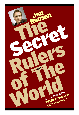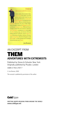**THEM Adventures with Extremists** 

Is there really, as the extremists claim, a secret mom from which a tiny elite secretly rule the world? And if so, can it he found? This book is a journey into whoart of darkness involving twelve-foot and-men, PR-savvy Ku Klux Klanimen, d limousines, the story of Ruby Ridge, Nount Chomsky, a harem of kidnapped sex slaves, and Nicolae Casuspecule shoes. While Jon Ronson attempts to locate the secret room he is chased by men is dark glaves, unmasked as a Jew in the middle. of a lihad training camp, and witnesses CEOs and leading politicians undertake a hizarre pagan owl ritual in the forests of northern California. He learns some alarming things about the looking glass world of them and us. Are the extremists onto something? Or has he become one of Them?

Jon Ronson

## AN EXCERPT FROM **THEM ADVENTURES WITH EXTREMISTS**

Published by Simon & Schuster New York Originally published by Picador, London

ISBN 0 7432 2707 7

© Jon Ronson, 2002

This excerpt is published by permission of the author



**WRITING WORTH READING FROM AROUND THE WORLD www.coldtype.net**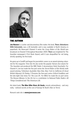

## **THE AUTHOR**

**Jon Ronson** is a writer and documentary film maker. His book, **Them: Adventures With Extremists**, was a UK bestseller and is now available in North America in paperback. His three-part Channel 4 series the Crazy Rulers of the World was broadcast on Channel 4 throughout November 2004. **Them** was longlisted for The Guardian newspaper's First Book Award, until it was disqualified for not being, strictly speaking, his first book.

He grew up in Cardiff and began his journalistic career as an award-winning columnist for the magazine *Time Out*. He also wrote the popular *Human Zoo* column for The Guardian and produced the BBC Radio 4 documentary Hotel Auschwitz. For Channel 4, Jon has made the five part series the Secret Rulers of the World, multi award-winning Tottenham Ayatollah, New Klan, New York to California (A Great British Odyssey), Dr Paisley, I Presume, the four-part series Critical Condition, and the late-night chat show *For The Love Of.*.. For BBC2 he made the six part series The Ronson Mission. In the US, he is a contributor to National Public Radio's All Things Considered and This American Life.

His latest book, **The Men Who Stare At Goats**, reveals extraordinary - and very nutty - national secrets at the core of George W. Bush's War on Terror.

Ronson's web site is **[www.jonronson.com](http://www.jonronson.com)**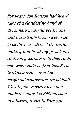*For years, Jon Ronson had heard tales of a clandestine band of dizzyingly powerful politicians and industrialists who were said to be the real rulers of the world, making and breaking presidents, contriving wars. Surely they could not exist. Could he find them? The trail took him – and his newfound companion, an oddball Washington reporter who had made the quest his life's mission – to a luxury resort in Portugal . . .*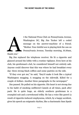

t the National Press Club on Pennsylvania Avenue,<br>Washington DC, Big Jim Tucker left a coded<br>message on the answer-machine of a friend.<br>"Mother. Your dutiful son is playing kick the can on<br>Pennsylvania Avenue, Tuesday morn Washington DC, Big Jim Tucker left a coded message on the answer-machine of a friend. "Mother. Your dutiful son is playing kick the can on Pennsylvania Avenue, Tuesday morning, 10.30am,

thank you."

Big Jim replaced the telephone receiver. He lit a cigarette and glanced around the lobby with a routine vigilance. Even here at his club, his gentleman's *club*, he considered himself not entirely safe. Anyone could discover that this was where he had breakfast every day: three strong black coffees and some pastries on the side.

"If they ever got me," he said, "they'd make it look like a typical Washington mugging. A mugging on the sidewalk. Killed for a couple of dollars. Another three paragraphs in the newspaper."

Jim paused. He pulled on his cigarette. His heart is not strong due to his habit of smoking unfiltered Camels at all times, pack after pack. He is quite huge, an elderly southern gentleman in a crumpled suit and a newshound trilby. He has a voice like gravel (a result of cigarette-induced emphysema, which, by a happy accident, gives his speech an enigmatic rhythm, like a charismatic Sam Spade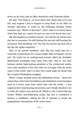down on his luck) and an office downtown with Venetian blinds.

He said, "The thing is, we don't know how much time we've got left. And suppose I just so happen to 'drop dead' in my office on Tuesday afternoon. It could be the following Monday before someone says, 'Where *is* that boy?' I don't want to be burnt bacon when they find me. I guess I'm just too vain to be found that way."

Big Jim laughed in a hollow manner. "So I phone my friend every day just to announce I'm still kicking the can and still hunting the macaroon. Still breathing, see? The day she doesn't get that call is the day she makes enquiries."

Here at his private members' club, Big Jim could pass for a venerable commentator for a heavyweight daily newspaper, but he isn't. He works for an underground journal called the *Spotlight.* Mainstream journalists keep away from him. This is, Jim said, because certain high-ranking members of the overground media, even some members of his own club, are in league with the secret rulers of the world. And it is they who would make his death look like a typical Washington mugging.

When I began hearing about the Bilderberg Group – about the notion that a tiny band of insidious and clandestine powermongers meet in a secret room from which they rule the world – I was sceptical. But I kept hearing about them, and I finally decided to try to settle the matter once and for all. Which is why I visited Big Jim Tucker. Within anti-Bilderberg circles, Big Jim is considered a pioneer, a trailblazer, risking his life to attempt to locate the geographical whereabouts of the secret room.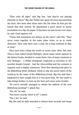"They exist all right," said Big Jim, "and they're not playing pinochle in there." Big Jim Tucker has spent 30 years documenting the facts. He's been after them since the 70s when he first got the hunch that they existed. He abandoned a good career in sports journalism on a big city paper. It has been cat and mouse ever since, he said. Good against evil.

"Those sick luminaries are always on the move," said Jim. "They never come together in the same place twice, so as to evade detection. They only meet once a year, for a long weekend in May or June."

They have been ruling the world in secret since 1954, Jim said, when a man called Joseph Retinger, whose name rarely appears in the history books, decided to create them. One of many mysteries is how Retinger – a Polish immigrant employed as secretary to the novelist Joseph Conrad – had the wherewithal and the contacts to organise such a mighty endeavour. Their first meeting took place in the Bilderberg Hotel, Holland, which is why the secret rulers of the world go by the name of the Bilderberg Group. Big Jim said that I happened to have caught him at a very good time. He was ready to take things further, to turn up the heat and cause some trouble.

"So you've actually managed to obtain the address of the next Bilderberg meeting?" I asked Jim.

"Yes, sir," he said.

"You know *exactly* where it is?" I asked.

"Yes, I do," he said.

Big Jim said he fully intended to thwart their security and barge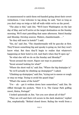#### JON RONSON

in unannounced to catch them red-handed going about their covert wickedness. I was welcome to tag along, he said, "Just so long as you don't step on twigs or fall off walls while we're on the prowl.

"The plan is this," said Jim. "We'll leave Washington on the last day of May, and we'll arrive at the target destination on the Sunday morning. We'll start patrolling that same afternoon. Patrol Sunday and Monday. Develop sources. Waiters, chambermaids . . ."

"So they still meet in hotels?" I said.

"Yes, sir," said Jim. "The chambermaids will be gun-shy at first. They'll know something big and spooky is going on, but they won't know what. But then they'll begin to realise that whatever's happening at their hotel is evil. And that's when they'll open up."

"So what else will we do on the Sunday and Monday?"

"Scout around the resort. Figure out ways to penetrate." "Scout around looking for what?"

"Where the short wall is," said Jim. "Where the big drainpipe is." "So we'll actually be climbing up drainpipes?" I asked.

"Climbing up drainpipes," said Jim, "trying not to sneeze or cough or step on twigs. Trying to avoid the guard dogs."

"What's the name of the hotel?"

"I've – uh – got it written down here somewhere," said Jim. He riffled through his pockets. "Here it is. The Caesar Park golfing resort, Sintra, Portugal."

I looked quizzically at Jim. "Are you *sure* about all of this?"

"They are evil and their evil occurs in the dark shadows," replied Jim, emphatically. "Behind closed doors. Ruling the world from a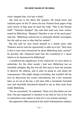room. Imagine that. Let's get a drink."

Jim took me to the Men's Bar upstairs. We drank beers and watched sport on the TV above the bar. Framed front pages of big news stories of days gone by lined the walls. "War in the Persian Gulf!" "Thatcher Resigns!" Jim said that both acts were orchestrated by Bilderberg. "Margaret Thatcher is one of the good guys," said Jim. "Bilderberg ordered her to dismantle British sovereignty, but she said no way, so they had her sacked."

Big Jim said he once found himself at a drinks party with Thatcher and he took the opportunity to sidle up to her. "How does it feel to have been denounced by those Bilderberg boys, ma'am?" he growled. She whispered back that she considered it a "great tribute to be denounced by Bilderberg".

I considered the significance of the endeavour we were about to undertake. For the other people I had met, Bilderberg was an inviolable almighty. Big Jim was the first man to have the tenacity to discover the address, and to plan on going in, and damn the consequences. This might change everything. Jim wouldn't tell me how he discovered the room's whereabouts, but a few moments later, as we sat at the bar, a tall man with a moustache bounded over and cheerfully introduced himself to me as Jim's mole from inside Bilderberg.

"I'm an accountant," he explained. "Some very big clients use our firm. One guy happened to mention to me that he was on his way to somewhere near Lisbon in June for a very private meeting."

Jim appeared a little annoyed by his mole's instantaneous candour,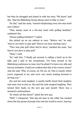but then he shrugged and joined in with the story. "We know," said Jim, "that the Bilderberg Group always meet in May or June."

"So Jim," said the mole, "started telephoning every five-star hotel near Lisbon."

"They always meet at a five-star hotel with golfing facilities," explained Jim.

"Always golfing facilities?" I asked.

Jim picked up on my subtext at once. "Believe me," he said, "they're not there to play golf. They're too busy starting wars."

"They may play golf when they're *there*," clarified the mole, "but they're not *there* to play golf."

"Okay," I said.

"So," said Jim, "I finally got around to calling a hotel up in the hills, and I said to the receptionist, 'I've been invited to the Bilderberg conference in June, but I'm afraid I've been very silly and lost my invitation. Could you confirm that this is the correct venue?' And she said, 'Why, of course, sir. Oh yes, sir. This is exactly where you're supposed to be, and we're very much looking forward to serving you."

Jim and his mole laughed. A nearby barfly heard their laughter and came over to join us. Jim and his mole stopped laughing. They turned their backs on the new guy and myself. There was a moment's awkwardness.

"So what's all this about?" asked the new guy.

"Well," I whispered, "that big old man in the trilby has tracked down the tiny group of people who rule the world in secret. Anyway,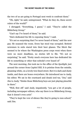the two of us are going to Portugal next week to confront them."

"Oh, right," he said, unimpressed. "What do they do, these secret rulers of the world?"

I shrugged. "Everything, I guess," I said. "They're called the Bilderberg Group."

"Can't say I've heard of them," he said.

"Jim's dedicated his life to exposing them," I said.

"It's not so surprising that I've never heard of them," said the new guy. He scanned the room. Every bar stool was occupied. Retired newsmen in suits stared into their beer glasses. The Men's Bar seemed to be where the Washington press corps went when there were no more deadlines, no stories left to file. "It's not so surprising," he said. "Pretty much everyone here has dedicated his life to something or other that nobody's ever heard of."

The next morning, Jim took me to the office of the *Spotlight*, just around the corner from Capitol Hill. It is pristine from the outside, gleaming white, on a lovely tree-lined street. But it is dark and dusty inside, and there are boxes everywhere. He introduced me to Andy, his editor. We sat in the courtyard and drank iced tea. "Jon," said Jim to Andy, "thinks those Bilderberg boys are just playing pinochle in there."

"Well, first off," said Andy, impatiently, "you get a lot of people, including newspaper editors, who say there is no Bilderberg Group, that it doesn't even *exist*."

"They've kept the vow of silence like they're going to nun school," said Jim.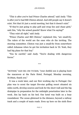"This is after you've had Prince Charles attend," said Andy. "This is after you've had Bill Clinton attend. And still people say it doesn't exist. Not that it's just a social meeting, but that it doesn't exist."

"If they're just going to play golf and swap lies and chase girls," said Jim, "why the armed guards? Know what I'm saying?"

"They exist all right," said Andy.

"Prince Charles and Bill Clinton," explained Jim, "are small-fry. The rulers of the world are the ones who *do* the inviting. The steering committee. Clinton was just a small-fry from somewhere called Arkansas when he got his invitation back in '91. Yeah, they had big plans for that boy."

"You be careful," said Andy. "You're dealing with dangerous forces."

\*\*\*

"MOTHER," SAID BIG JIM TUCKER, "your dutiful son is playing hunt the macaroon at the Paris Hotel, Portugal, Monday morning, 10.30am, thank you."

It was a week later, and our first working day in Portugal. Our plan was to scout the target five-star golfing resort situated six miles north, develop sources and look for the short wall and the big drainpipe in preparation for the midnight penetration later in the week. Jim lay back on his bed. Our hotel was built on a busy roundabout. The ocean glistened in the distance, beyond a railway track and a couple of main roads. Even up here on the sixth floor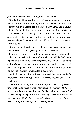you could hear the never-ending roar of the traffic.

"Unlike the Bilderberg luminaries," said Jim, ruefully, scanning the dirty walls of this bad hotel, "some of us are working on a tight budget." Jim lit a Camel. He is a large, elderly man, and I am not athletic. Our agility levels were impeded by our smoking habits, and we wheezed in the Portuguese heat. I was unsure as to how successful the two of us would be in climbing up drainpipes. I pictured slapstick scenarios that would be hilarious to onlookers but not to us.

Jim was acting breezily, but I could sense his nervousness. "I'm a quarterback," he said, "gearing up for the Superbowl."

By Jim's reckoning, the Bilderberg Group was not scheduled to arrive in Portugal until Wednesday night. He said he had heard reports that their private security guards had already set up camp at the Caesar Park and were planning to operate a shoot-to-kill policy for all penetrators. This somewhat diminished the potential for slapstick hilarity. I was not feeling cocksure.

We had that morning fruitlessly scanned the news-stands for references to the meeting. "Surprise, surprise," growled Jim. "Media black-out."

There was, however, one notable exception. The *Weekly News*, a tiny English-language parish newspaper, circulation 8,000, for Algarve tourist workers and regular English visitors such as Sir Cliff Richard, had gone big on the story. Very big: *"As speculation on the internet runs rife, the News checks it out and it does seem that . . . secret world government group is meeting here!"*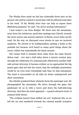#### JON RONSON

The *Weekly News* made me feel less vulnerable down here on the ground. Jim said he wanted to touch base with its editorial team later in the week. "If the *Weekly News* boys can help us expose those Bilderberg jackasses," he said, "I'm all for pooling information."

I had rented a car from Budget. We drove into the mountains, away from the boisterous, good-time package-tour Estoril, towards the more serene and ancient pastures of Sintra, seven miles up the road. On the way, we discussed cover stories in case we incurred suspicion. We elected to be holidaymakers, getting a drink at the poolside bar because we'd heard so many good things about the resort, which was undoubtedly the finest around.

The Caesar Park is situated three miles from the main Estoril-Sintra road – two and a half miles down a narrow country lane, through the wilderness of a national park, followed by another halfmile private driveway. It became evident, as we approached the big peach gates that led into the resort, that the midnight penetration would be an even more formidable task than we had anticipated. The hotel is surrounded on all sides by dense undergrowth and sheer mountains.

Jim silently pondered these obstacles from the passenger seat. He photographed the mountains. We drove through the gates (the gatekeeper let us in with a wave) and down the half-mile-long driveway. And then the hotel appeared – a peach-coloured resort of purpose-built luxury.

"The civilians haven't been shifted out yet," muttered Jim, as we left the car and wandered towards the colossal marble reception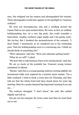area. Jim whipped out his camera and photographed the tourists. These photographs would later appear in the *Spotlight* as "unaware civilians".

We were not inconspicuous, Jim and I, strolling around the Caesar Park in our open-necked shirts. We were, in fact, an unlikely holidaymaking duo. At a very big push, Jim could resemble a benevolent, wealthy, southern sugar daddy and I his gawky, early-30s toy-boy. But I doubted the persuasiveness of the scenario. "I don't think," I murmured, as we wandered out to the swimming pool, "that the holidaymaking cover is a convincing one. I think we should think of something else."

"We're salesmen," said Jim. "We're just salesmen getting lunch." "What do we sell?" I asked.

"We don't like to talk business when we're having lunch," said Jim. We sat on stools at the poolside bar. Unaware young women sunbathed in bikinis.

"Ma'am," said Jim to a young passing waitress, bowing slightly, his newshound trilby now replaced by a tourist's straw sunhat, "I'm a little confused. I tried to book a room here for Thursday, and they told me that the whole hotel had been closed down for some big meeting. Must be a pretty damned big important meeting if you ask me . . ."

The waitress shrugged. "I don't know," she said. She smiled slightly and left us.

Jim got out his notepad. He wrote notes and then he read them out to me: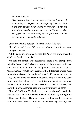### *Dateline Portugal*

*Tension filled the air inside the posh Caesar Park resort on Monday. At the poolside bar, the pretty barmaid's face filled with tension when asked to speculate on the big important meeting taking place from Thursday. She shrugged her shoulders and feigned ignorance, but the tension on her face spoke volumes.* 

Jim put down his notepad. "Is that accurate?" he said.

"I don't know," I said. "We may be imbuing her with our own feelings of tension."

"Still," said Jim, finishing his iced tea, "now we know what the drinks of the rich taste like."

We paid and patrolled the resort some more. I was disappointed with the Caesar Park, its Eurotrashy aircraft-hangar spaces, its cold approximation of luxury. The lobby shops have names such as "Fashionable". I would have assumed that Bilderberg would meet somewhere classier. Jim explained that I still hadn't quite got it. They are not there for classy holidaying. They are there to start wars. Also, Jim added, there is a finite number of international hotels that can transform themselves into walled fortresses, that have their own helicopter pads and nearby military air bases.

Jim and I split up. I looked at the prints on the wall outside the upstairs bar. A half-hour passed. I wandered aimlessly through the lobbies and the bars. There were other aimless wanderers, too: a woman in a red dress and a man in his 30s wearing a tweed jacket.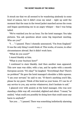It struck me that we all seemed to be wandering aimlessly in some kind of unison, but it didn't cross my mind – right up until the moment that the man in the tweed jacket marched across the room and began questioning me in an angry whisper – that I was being tailed.

"We've watched you for an hour. I'm the hotel manager. You take pictures. You ask questions about some big important meeting. Who are you?"

"I . . ." I paused. Then I clumsily announced, "I'm from England." It was the only thing I could think of. This works, of course, in other circumstances abroad. But it didn't work here.

"What do you *want*?"

I stared blankly at him.

"What is your *business* here?"

I continued to stare blankly. And then another man appeared. This new man was older, with a tan, and he spoke with a smooth European accent. "It's okay!" he laughed. "Everything's fine! There's no problem!" He gave the hotel manager's shoulder a little squeeze. "I am your servant," he said to me. "If there's anything you'd like, please be my guest. Think of this hotel as your home. If I can be of any service to you, any service whatsoever, don't hesitate to ask."

I glanced over with anxiety at the hotel manager, who was now standing a little way off; overruled, slighted and silent. "I mean," he smiled, "what could you possibly be doing here that could cause any harm to anybody?"

"Are you . . ." I paused. There was something indistinctly alarming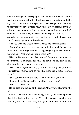#### JON RONSON

about the things he was saying to me. I could not imagine that he really did want me to think of this hotel as my home. So why did he say that? I presume, in retrospect, that the message he was sending to me was: "We have noticed you, you are not welcome, but we are allowing you to leave without incident, just so long as you don't come back." At the time, however, the message I picked up was: "I am extremely sinister and powerful. This is so evident that I can afford to feign generous subservience."

"Are you with the Caesar Park?" I asked the charming man.

"Oh, no," he laughed. "No, I am not with the hotel. So, as I say, think of this hotel as your home. Really, everything's fine and there's no problem. What problems could there be?"

*What problems could there be?* I wanted the young hotel manager to intervene. I suddenly felt that he could be my ally in this situation. But he remained impassive.

"Don't feel as if you have to go," said the charming man, his arms outstretched. "Stay as long as you like. Enjoy the facilities. Have a swim!"

"So if you're not with the hotel," I said, "who are you with?"

"I am with . . ." he paused ". . . another organisation."

"Which is called . . .?"

He laughed and looked at the ground. "Enjoy your afternoon," he said.

I waited for Jim down in the lobby, right by the revolving doors that led outside to the car park. The hotel manager stood nearby, watching me with a constant, even gaze. After five minutes, Jim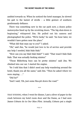ambled towards us. When he noticed the hotel manager, he slowed his gait to the laziest of strolls – a little gesture of southern gentlemanly defiance.

There was something new in the car park now, a dozen police motorcycles lined up by the revolving doors. "The big shut-down is beginning," whispered Jim. He pulled out his camera and photographed the police. "We're lucky," he said. "An hour later, we wouldn't have gotten near the place."

"What did that man say to you?" I asked.

"Oh," said Jim, "he would just love to be of service and provide any help I needed, blah blah blah."

"How can you say blah blah blah?" I said. "That wasn't blah blah blah. That was actually fucking sinister."

"Those Bilderberg boys can be pretty sinister," said Jim. We climbed into our car. I started the engine.

"So I told him that I didn't need any help wandering around the hotel, thank you all the same," said Jim. "Then he asked where we were staying . . ."

"Did he?"

"And I said, 'Oh, just some flea-pit down the road.'"

\*\*\*

THAT EVENING, when I went for dinner, I put a sliver of paper in the crack between my hotel room door and the frame, as I had seen James Coburn do in *Our Man Flint.* Actually, Coburn put a single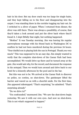#### JON RONSON

hair in his door. But my door crack was too large for single hairs, and they kept falling on to the floor and disappearing into the carpet. I was standing there in the corridor tugging my hair out. So I switched to a sliver of paper. When I returned from dinner, the sliver was still there. There was always a possibility, of course, that they'd taken a look around and put the sliver back where they'd found it. I slept fitfully that night, but nothing happened.

"Mother." It was Tuesday morning. Jim was leaving his regular answerphone message with his friend back in Washington DC to confirm he had not been murdered during the previous 24 hours. "Your dutiful son is playing kick the can in Portugal. Thank you very much." This was supposed to be an easy day. Jim simply wanted to verify that the complete shut-down of the Caesar Park had been accomplished. We would drive up there and be turned away at the gate. Jim would ask why, for the record, and document the response in his notepad. Then we would turn around and drive back to our hotel for a leisurely afternoon by the pool and in the bar.

But this was not to be. We arrived at the Caesar Park to discover no police, no cordon, no shut-down. The gatekeeper lifted the barrier and waved us on with a cheerful smile. For the first time, Jim appeared sidestepped. "That's surprising," he admitted. "That's surprising already."

"Do we drive in?"

"I'm confounded," murmured Jim. "We saw the shut-down begin yesterday. We saw it with our own eyes. And now no shut-down. This is not what's supposed to happen."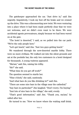The gatekeeper approached the car. "Just drive in," said Jim urgently. Impulsively, I took my foot off the brake and we cruised up the drive. This was a disconcerting new twist. We were venturing into a place where it had been made perfectly clear that we were not welcome, and we didn't even want to be there. We were accidental agents provocateurs, simply because we had been waved on at the gate.

"The hotel is deserted," I said, as we pulled into the car park. "We're the only people here."

"Let's get lunch," said Jim. "Just two guys getting lunch."

We wandered through the now-deserted marble lobby. There were no more civilians. We walked out into the silent grounds and sat at the poolside bar, the only two customers in a hotel designed for thousands. A young waitress appeared.

"Ma'am," said Jim, raising his trilby.

"Sir?" she said.

"What time do you get off work?"

The question seemed to startle her.

"Nine o'clock," she said, cautiously.

"And what bars do you like drinking in?" said Jim.

"There are some nice bars in the village near the cathedral."

"Any bars in particular?" Jim laughed. "Don't worry. I'm buying."

"Just lots of nice bars in the village," she said, evenly.

"That's good information," said Jim. "Thank you, ma'am," he called after her.

He turned to me. "Now we know where the waiting staff drink.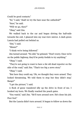Could be good contacts."

"So," I said, "shall we try the bars near the cathedral?"

"Sure," he said.

"Will we go, then?"

"Okay," said Jim.

We walked back to the car and began driving the half-mile towards the exit. I glanced into my rear-view mirror. A dark green Lancia had pulled out behind us.

"Jim," I said.

"Mmm?"

"I think we're being followed."

Jim turned around. "No shit," he grinned. "Don't worry. Once we're on the public highway, they'd be pretty foolish to try anything."

"Okay," I said.

"They're not going to want to have a fat old dead reporter on the side of the road," said Jim. "That's too big a news story."

"Okay," I said.

"But here they could say, 'Oh, we thought they were armed. They looked threatening. We told them to stop but they didn't stop.' Bango!"

"I get the picture," I said.

A flock of geese wandered idly up the drive in front of me. I honked my horn. We finally reached the peach gates.

"You watch," said Jim. "He'll turn around now. He's done his job. Poor fool."

But the Lancia didn't turn around. It began to follow us down the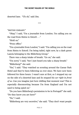deserted lane. "Uh oh," said Jim.

\*\*\*

"BRITISH EMBASSY."

"Okay," I said, "I'm a journalist from London. I'm calling you on the road from Sintra to Estoril . . ."

"Hold on."

"Press office."

"I'm a journalist from London," I said. "I'm calling you on the road from Sintra to Estoril. I'm being tailed, right now, by a dark green Lancia belonging to the Bilderberg Group."

There was a sharp intake of breath. "Go on," she said.

"I'm sorry," I said, "but I just heard you take a sharp breath."

"Bilderberg?" she said.

"Yes," I said. "They watched us scouting around the Caesar Park Hotel and they've been following us ever since. We have now been followed for three hours. I wasn't sure at first, so I stopped my car on the side of a deserted lane and *he stopped his car right in front of us*. Can you imagine just how chilling that moment was? This is especially disconcerting because I'm from England and I'm not used to being spied on."

"Do you have Bilderberg's permission to be in Portugal?" she said. "Do they know you are here?"

"No," I said.

"Bilderberg are very secretive," she said. "They don't want people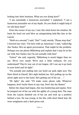looking into their business. What are you doing here?"

"I am essentially a humorous journalist," I explained. "I am a humorous journalist out of my depth. Do you think it might help if we tell them that?"

From the corner of my eye, I saw Jim wind down his window. He leant his head out and blew an antagonising lady-like kiss at the Lancia.

"Hold on a second," I said. "Jim!" I said, sternly. "Please stop that." I lowered my voice. "I'm here with an American," I said, "called Big Jim Tucker. He's an agent provocateur. That might be the problem. Perhaps you can phone Bilderberg and explain that I may be in the car with Jim Tucker, but I'm not actually with him."

"Listen"' she said, urgently, "Bilderberg is much bigger than we are. We're very small. We're just a little embassy. Do you understand? They're way out of our league. All I can say is go back to your hotel and sit tight."

"I'm actually just pulling into our hotel car park right now. The Paris Hotel in Estoril. He's right behind me. He's pulling up on the street right next to the hotel. He's getting out of his car . . ."

"Sit tight," she said. "I'll make some phone calls. Whatever happens, don't incite them in any way. Don't fan the flames."

Before the chase had begun, Jim was lumbering and supine. Now he jumped out of the car with the agility of a young deer. The man from the Lancia climbed out of his car and took up a position behind a tree. He was young, in his 30s, with short black hair. He wore sunglasses and a dark green suit.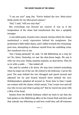"I can see you!" sang Jim. "You're behind the tree. Peek-a-boo! Smile pretty for my idiot-proof camera."

"Jim," I said, "will you *stop* that."

But everything was beyond my control. It was as if the invigoration of the chase had transformed Jim into a sprightly teenager.

A one-sided game of peek-a-boo ensued, during which the chaser maintained a steely expression behind his sunglasses, Jim performed a little ballet dance, and I sidled towards the swimmingpool area, attempting to distance myself from the unfolding crisis. Jim wandered over to me.

"Am I being paranoid," he said, "or did Bilderberg set a trap for us? No, listen. Yesterday, we saw the shut-down begin. We saw it with our own eyes. Today, surprise surprise, no shut-down. They let us in with a smile  $\therefore$  " Jim trailed off.

Jim said he needed a lie down. He may have twisted something when he leapt out of the car. He retired to his bedroom. I sat by the pool. The man behind the tree shrugged and paced around and adjusted his tie and busied himself there behind the tree. Holidaymakers splashed all around us. From time to time I made eye contact with the chaser, which meant, "Can I come over and tell you who we are and what is going on?" But he waved me away with a flick of his hand.

Sandra from the British Embassy called me back to say that she had spoken to the Bilderberg office at the Caesar Park and they said that nobody was following us and how could they call off someone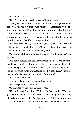who didn't exist?

"He is," I said, in a staccato whisper, "behind the tree."

"The good news," said Sandra, "is if you know you're being followed, they're probably just trying to intimidate you. The dangerous ones would be those you don't know are following you."

But this was scant comfort. What if these men were the dangerous ones, and I just happened to be naturally good at spotting them? What if I was adept at this?

"But that isn't logical," I said. "Big Jim Tucker is obviously not intimidated. I don't think they'd waste their time trying to intimidate us when it is quite obviously failing."

"You sound a little intimidated, if you don't mind me saying," said Sandra.

Two hours passed. Jim and I reconvened at a hotel bar down the road. As I wandered through the lobby, two men in dark suits immediately grabbed brochures and began scrutinising them. I found Jim some yards away, staring into his beer glass. "There are two men by the door," I said, "reading brochures."

"I see them," said Jim.

"They're only pretending to read brochures."

"How do you know?" said Jim.

"You can tell by their demeanour," I said.

"Here's the plan," said Jim. "We leave the bar together. When we get within earshot of the chasers, I say, 'I'm gonna meet my Bilderberg contact at the Tiny Bar.' You say, 'Shhh.' Say it urgently, as if you don't want them to overhear. Feed them disinformation."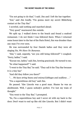"I'm not going to do that," I said. Jim and I left the bar together.

"Jon," said Jim loudly, "I'm gonna meet my secret Bilderberg contact at the Tiny Bar."

I scowled, said nothing and marched ahead.

"Very good," murmured Jim outside.

We split up. I walked down to the beach and found a seafood restaurant. I do not think I was followed there. When I returned some hours later to the bar of the Paris Hotel, Jim was drunker than any man I've ever seen.

He was surrounded by four Danish ladies and they were all singing *Yes, We Have No Bananas.* 

"Jim," I said, urgently, "are you still being followed?" I coughed. "Sorry, ladies," I said.

"Excuse me, ladies," said Jim, bowing graciously. He turned to me. "So what happened?" I said.

"I went to the Tiny Bar," he said. "They call it the Tiny Bar because it is a tiny bar."

"And did they follow you there?"

*". . . We have string beans and onions/Cabbages and scallions . . ."* 

"I'm a superstitious old boy," said Jim.

He paused. "Abe Lincoln was a good man. Shame he was an abolitionist. Well, I guess nobody's perfect. I've lost my train of thought."

"You went to the Tiny Bar," I prompted.

"So, I'm a superstitious boy and I never sit with my back to the door. Don't want to end up like old Abe Lincoln. But I didn't want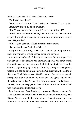them to know, see, that I knew they were there."

"And were they there?"

"I don't know," said Jim. "I had my back to the door. Ha ha ha ha!" Jim nearly fell off his chair laughing.

"Jim," I said, sternly, "when you left, were you followed?"

"Who'd want to follow an old boy like me?" said Jim. "The amount of pills they make me take for my plumbing, anyone would think I was FAG positive."

"Jim!" I said, startled. "That's a terrible thing to say."

"I'm a Neanderthal," said Jim. "Grrrrr."

Early the next morning, a Do Not Disturb sign hung on Jim's door, and sounds of typing echoed down the corridor.

A frosty atmosphere had developed between Jim and myself this past day or so. The tension was driving us apart. I was ready to sell Jim out to save my own skin, and I felt that Jim, invigorated by the chase, was grabbing my hand and jumping blindly into dangerous waters. We had an appointment with Paul Luckman, the editor of the tiny English-language *Weekly News*, the Algarve parish newspaper that had stuck its neck out and gone big on the Bilderberg story. Paul's was the only newspaper in Portugal – indeed, the only newspaper in the world, as far as I could tell – that was reporting the Bilderberg story.

Paul is an ex-pat from England, 15 years an Algarve resident. He is not a journalist by trade. He runs a small telephone company. The *Weekly News* is a hobby for him, his wife, Madeline, and their two friends from church, Fred and Brendan. Paul told me he was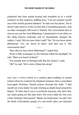perplexed that their parish journal had stumbled on to a world exclusive on this explosive, baffling story. "I do not consider myself one of the world's greatest thinkers," he said over the phone, "but it doesn't take much to work out that this is something genuine. And no other newspaper will *touch* it. Nobody. The conversation dies as soon as you say the word Bilderberg. I mentioned it to an editor on the *Daily Express* yesterday, and he immediately changed the subject. I said, 'Did you hear what I said?' 'Yes.' 'Do you know about Bilderberg?' 'I've, uh, *heard* of them.' And that was it. The conversation died."

"How did you hear about Bilderberg?" I asked him.

"From a little newspaper on the internet called the *Spotlight*," he said. "Have you heard of them?"

"I'm actually here in Portugal with Big Jim Tucker," I said.

"Oh!" he said. "He's a hero. Bring him along."

\*\*\*

PAUL HAS A LITTLE OFFICE in a modern glass building in central Lisbon where he conducts his telephone business. He's a committed born-again Christian. Church posters decorate the walls. "I find myself out of my depth," he said, twisting an elastic band around his fingers. "If what they're up to is perfectly innocent, why don't they say what's going on? But they don't. Not even a little bit. Not even a hint. Nothing." Paul paused. "Maybe my head's gone," he said, "but the Book of Revelation speaks of a one-world order, one financial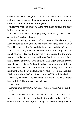order, a one-world religion. There'll be a sense of disorder, of children not respecting their parents, and then a very powerful group will form. So it does all fit together."

"I know they're bad guys," said Jim, "and I hate them, but I don't believe they're satanist."

"I believe that Paul's not saying they're satanist," I said. "He's saying they're actually Satan."

The next morning, Paul sent Fred and Brendan, his fellow *Weekly News* editors, to meet Jim and me outside the gates of the Caesar Park. This was the day Jim said the limousines and the helicopters would arrive. If any of us still had doubts, Jim said, if any of us still didn't believe, today was the day we would realise that the world was nothing like we had been told it was, that it turned on a sinister axis. The four of us waited out in the heat. A Gypsy caravan trotted past, then a few hikers. An hour trundled slowly by, and we filled in the time with small talk. "So, Paul thinks Bilderberg represents the fulfilment of the Book of Revelation," I said to Fred. He chuckled. "Well, *that's* where Paul and I part company." We both laughed.

"You see," said Fred, "I believe that all the prophecies have already been fulfilled." There was a small silence.

"Oh," I said.

Another hour passed. We ran out of mineral water. We kicked the gravel.

"They'll be here," said Jim, but now even he seemed unsure. He wiped the sweat from his forehead with a silk handkerchief. Our shirts were soaked. We stopped talking to each other and just stood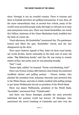there. Portugal is not an eventful country. There is tourism and there is football and there are golfing tournaments. It was, then, all the more extraordinary that, at around four o'clock, many of the world's most powerful people really did begin to roll past us in taxis and anonymous town cars. There was David Rockefeller, net worth \$2.5 billion, chairman of the Chase Manhattan bank, huddled into the back of a local cab.

"Good afternoon, Mr Rockefeller," murmured Jim. The gatekeeper bowed and lifted the gate. Rockefeller waved, and the taxi disappeared up the drive.

Then came Umberto Agnelli of Fiat, Italy's de facto royal family, net worth \$3.3bn, barely noticeable in the back seat of some old sedan. "Big Bilderberg family," said Jim. He was trying to remain matter-of-fact, but pretty soon he was grinning broadly.

"Jim!" I said.

"Damn right, soldier," he beamed. "Pretty overwhelming, huh?"

There was Vernon Jordan, Bill Clinton's close friend, his unelected unofficial adviser and golfing partner – Vernon Jordan, who plucked the president from Arkansas obscurity and nurtured him to the White House, and who is widely credited with pulling strings to get James Wolfensohn his job as president of the World Bank.

There was James Wolfensohn, president of the World Bank. "Incredible," murmured Fred. "Unbelievable."

And there was Henry Kissinger, possibly the most powerful individual the postwar world has known: Dr Kissinger, who sanctioned the secret bombing of Cambodia and later won the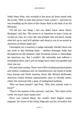#### JON RONSON

Nobel Peace Prize, who revealed to the press his heart attack with the words, "Well, at least that proves I have a heart" – and here he was trundling up the drive of the Caesar Park in the back of an old Mercedes.

"I'll tell you one thing, I bet you didn't know about Henry Kissinger," said Jim. "His accent is as American as mine. Creep up on him at a bar, as I once did, and whisper that you know exactly what he's up to, and he'll splutter and shout at you in an accent as American as Mom's apple pie."

I attempted, for a moment, to judge rationally whether there was any truth to this startling claim – whether Kissinger really had throughout his life adopted a fake European accent to camouflage his American one. But I couldn't. My rationality had suffered a tremendous blow, and I now no longer knew what was possible and what was not.

The taxis kept coming. There were CEOs of pharmaceutical giants and tobacco companies and car manufacturers, the heads of banks from Europe and North America. Some, like Richard Holbrooke, America's United Nations representative, gave us friendly smiles, which Jim returned with a glare of undisguised loathing.

"Who *are* these people?" said Fred. "Why does nobody want to *know?*"

"They're the masters of the universe," said Jim. "The rulers of the world. You know their names now"

There was Conrad Black, the world's third biggest media magnate, the owner of the *Daily Telegraph* and the *Jerusalem Post*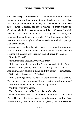and the *Chicago Sun-Times* and 40 Canadian dailies and 447 other newspapers around the world. Conrad Black, who, when asked what epitaph he would like, replied, "Just my name and dates. The more exalted a person, the less is written on their tombstone. Charles de Gaulle just has his name and dates, Winston Churchill has the same, Otto von Bismarck has only his last name, and Napoleon Bonaparte has only the letter 'N' with no dates at all. This was a man sure of his place in history, and now I felt that perhaps I understood why."

An old bus cruised up the drive. I paid it little attention, assuming it was full of hotel workers. Only Brendan scrutinised the occupants. I glanced over. Brendan seemed frozen to the spot.

"Brendan?" I said.

"Brendan!" said Fred, sharply. "What is it?"

"I looked through the window," he explained, finally, "and I focused on one person, and he was staring back at me. I was standing with my camera in hand, and this person . . . just stared."

"What kind of stare was it?" I asked.

"It was a strange stare," he said. "It was a different type of stare. Yes. He looked *down* at me. As if he was staring right through me." There was a pause. "I couldn't even lift my camera."

"And who was it?" I asked.

Then Brendan said, softly, "It was Peter Mandelson."

Peter Mandelson was the architect of Tony Blair's New Labour Party. He was the image-maker, a wily spinner and a fixer, masterminding Tony Blair's ascent to power, the quintessential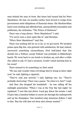man behind the man in front. But times had turned bad for Peter Mandelson. He had, six months earlier, been forced to resign from government amid allegations of financial sleaze. His Machiavellian back-room dealing had afforded him, among British journalists and politicians, the nickname, "The Prince of Darkness."

There was a long silence. "Peter Mandelson?" I said.

"I've never seen a stare quite like it," said Brendan.

"Who's Peter Mandelson?" said Jim.

There was nothing left for us to do, so we got lunch. We lavished praise upon Big Jim, who grinned with satisfaction. He had, indeed, uncovered something extraordinary. Fred half-joked that Jim should win a Pulitzer, except Pulitzer was probably in Bilderberg's hands. We went back to our hotels to freshen up, and after a while Jim called to ask, if I had a moment, would I mind meeting him in his room?

There seemed to be something on Jim's mind.

"We can only wonder what evil things they're doing in there right now," he said, lighting a cigarette.

"They've only just arrived," I said, lighting one. too. "They're probably showering." There was a pause. "So what is it, Jim?" I said.

And then Jim dropped his bombshell – he was calling off the midnight penetration. "When I was at the Tiny Bar last night," he explained, "I met this taxi driver. Local guy. Knew the terrain. I said I'd give him a hundred dollars to escort me through the undergrowth and up the drainpipes. 'One hundred crisp American dollars,' I said to him. 'Buy the wife that red dress she's always wanted.' "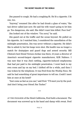Jim paused to cough. He had a coughing fit. He lit a cigarette. I lit one, too.

"Anyway," resumed Jim after he had drunk a glass of water, "the taxi driver called just now. He said his wife wasn't going to let him go. Too dangerous, she said. She didn't want him killed. Poor fool."

Jim looked out of the window. "I'm sorry," he said.

Jim gazed out at the traffic and the ocean beyond. He pulled on his cigarette. As I watched him, I considered the cancellation of the midnight penetration. Jim was never without a cigarette. He didn't like to admit it, but his lungs were shot. His health was no longer a match for drainpipes and guard dogs and armed security. Bill Clinton's best friend Vernon Jordan was there, 13 years a director of America's second-largest cigarette manufacturer, RJR Nabisco. I was sure that it was Jim's rattling, cigarette-induced emphysema that had put paid to his midnight penetration. I went back to my own room and lay on my bed. I drifted off for a while, and then I was woken by the telephone. It was Fred from the *Weekly News*. He said he had something of great importance to tell me. Could I meet him at once at his hotel?

"Just come as fast as you can," said Fred. "I'll meet you by the pool. And don't bring your friend Jim Tucker."

\*\*\*

AT THE POOLSIDE of the Hotel California, Fred held a document. The document was screwed up in his hand and damp with sweat. Fred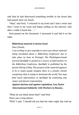said that he had discovered something terrible in the hours that had passed since our lunch.

"Okay," said Fred, "I returned to my hotel and I had a swim and then I went to my room and began surfing on the internet. And after a while I found this . . ."

Fred passed me the document. I uncreased it and laid it on the table.

## **Bilderberg material is fascist hoax!**

*Dear friends,* 

*I am writing to you urgently to warn you about material being circulated about a 'Bilderberg Conference' due to take place in June in Portugal. The Washington-based journal Spotlight is quoted as a source of information on the Bilderberg Conference. Spotlight is published by the fascist Liberty Lobby. The purpose of the material appears to be to make people imagine there is a sinister Jewish conspiracy that is trying to dominate the world. You may find much information on Spotlight by contacting any major anti-fascist organization.* 

**Against fascism and against capitalism, Lisa Taylor (International Solidarity with Workers in Russia).** 

"What do you think about that?" said Fred.

There was a long silence.

"Well," I said. "I should tell you that the other night Jim told me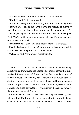it was a shame that Abraham Lincoln was an abolitionist."

"Did he?" said Fred, clearly startled.

"But I can't really think of anything else Jim said that might be construed as . . . oh, he did say that with the amount of pills they make him take for his plumbing, anyone would think he was . . ."

"We're getting all our information from neo-Nazis?" interrupted Fred. "We're publishing a newspaper all over Portugal and our sources are neo-Nazis?"

"You might be," I said. "But that doesn't mean . . ." I paused.

Fred looked out at the pool. Children were splashing around. It was a lovely day. He put his head in his hands.

"What," he said, "have we got ourselves into?"

\*\*\*

IN MY ATTEMPTS to find out whether the world really was being secretly ruled from inside the Caesar Park golfing resort that June weekend, I later contacted dozens of Bilderberg members. And, of course, nobody returned my calls. Nobody even wrote back to decline my request and thank me for my letter, and these are people whose people always write back and decline requests – Peter Mandelson's office, for instance – which is why I began to envisage these silences as startled ones.

I did manage to speak to David Rockefeller's press secretary, who told me that Mr Rockefeller was thoroughly fed up with being called a 12ft lizard, a secret ruler of the world, a keeper of black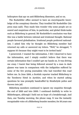helicopters that spy on anti-Bilderberg dissenters, and so on.

The Rockefeller office seemed to have an encyclopaedic knowledge of the conspiracy theories. They troubled Mr Rockefeller (his press man said). They made him wonder why some people are so scared and suspicious of him, in particular, and global think-tanks such as Bilderberg in general. Mr Rockefeller's conclusion was that this was a battle between rational and irrational thought. Rational people favoured globalisation. Irrational people preferred nationalism. I asked him why he thought no Bilderberg member had returned my calls or answered my letters. "Well," he shrugged, "I suppose it's because they might want to be invited back."

I persevered. I wanted the information. I felt I deserved to have the information, and I simply couldn't believe that there was certain information that I couldn't get my hands on. It was driving me crazy. I learnt that being followed around by a man in dark glasses was tame in comparison with the indignities suffered by some of the few prying journalists who had travelled this road before me. In June 1998, a Scottish reporter tracked Bilderberg to the Turnberry Hotel in Ayrshire, and when he started asking questions he was promptly handcuffed by Strathclyde police and thrown into jail.

Bilderberg members continued to ignore my enquiries through the end of 1999 and into 2000. I continued dutifully to write to Bilderbergers, although I held out no hope of a breakthrough. And then, one Tuesday morning, the phone rang. It was the instantly recognisable voice of a Bilderberg founder member, for 30 years one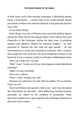of their inner circle, their steering committee, a Bilderberg agenda setter, a head-hunter – a secret ruler of the world himself, should you choose to believe the assorted militants I had spent the past five years with.

It was Denis Healey.

Denis Healey was one of Britain's most powerful political figures during the 1970s. He was the deputy leader of the Labour Party and Chancellor of the Exchequer during the dark years of spiralling taxation and inflation. Despite his fearsome budgets – he once promised to "squeeze the rich until the pips squeak" – he was remembered as a jovial and scrupulous moderate, with a tremendous laugh and vast eyebrows, two great hedgehogs nesting on his forehead. It was a surprise to find Lord Healey at Bilderberg's heart.

"How can I help you?" he said.

"Well," I said, "would you tell me what happens inside Bilderberg meetings?"

"Okay," he said, cheerfully.

There was a silence.

"Why?" I said. "Nobody else will."

"Because you asked me," he said. Then he added, "I'm an old fart. Come on over."

Once Lord Healey had agreed to talk to me – and I had circulated this information far and wide – other Bilderberg members became amenable, too (albeit on the condition of anonymity). These interviews enabled me to piece together the backstage mechanics of this most secret society.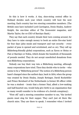#### JON RONSON

So this is how it works. A tiny, shoe-string central office in Holland decides each year which country will host the next meeting. Each country has two steering committee members. (The British ones have included Lord Carrington, Denis Healey, Andrew Knight, the one-time editor of The Economist magazine, and Martin Taylor, the ex-CEO of Barclays Bank.)

They say that each country dreads their turn coming around, for they have to raise enough money to book an entire five-star hotel for four days (plus meals and transport and vast security – every packet of peas is opened and scrutinised, and so on). They call up Bilderberg-friendly global corporations, such as Xerox or Heinz or Fiat or Barclays or Nokia, which donate the hundreds of thousands of pounds needed. They do not accept unsolicited donations from non-Bilderberg corporations.

Nobody can buy their way into a Bilderberg meeting, although many corporations have tried. Then they decide who to invite – who seems to be a "Bilderberg person". The notion of a Bilderberg person hasn't changed since the earliest days, back in 1954, when the group was created by Denis Healey, Joseph Retinger, David Rockefeller and Prince Bernhard of the Netherlands (a former SS officer while he was a student – ironic that a former Nazi, albeit a low-ranking and half-hearted one, would help give birth to an organisation that so many would consider to be evidence of a Jewish conspiracy).

"First off," said a steering committee member to me, "the invited guests must sing for their supper. They can't just sit there like church mice. They are there to speak. I remember when I invited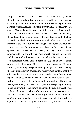Margaret Thatcher back in '75. She wasn't worldly. Well, she sat there for the first two days and didn't say a thing. People started grumbling. A senator came up to me on the Friday night, Senator Mathias of Maryland. He said, 'This lady you invited, she hasn't said a word. You really ought to say something to her.' So I had a quiet word with her at dinner. She was embarrassed. Well, she obviously thought about it overnight, because the next day she suddenly stood up and launched into a three-minute Thatcher special. I can't remember the topic, but you can imagine. The room was stunned. Here's something for your conspiracy theorists. As a result of that speech, David Rockefeller and Henry Kissinger and the other Americans fell in love with her. They brought her over to America, took her around in limousines, and introduced her to everyone.

"I remember when Clinton came in '91," he added. "Vernon Jordan invited him along. He used it as a one-stop-shop. He went around glad-handing everyone. Nobody thought they were meeting the next president." (Of course, Jim Tucker would contend that they *all* knew they were meeting the next president – for they huddled together that weekend and decided *he* would be the next president.) At times, I become nostalgic for when I knew nothing. There are so few mysteries left, and here I am, I presume, relegating Bilderberg to the dingy world of the known. The invited guests are not allowed to bring their wives, girlfriends or – on rarer occasions – their husbands or boyfriends. Their security officers cannot attend the conference and must have dinner in a separate hall. The guests are expressly asked not to give interviews to journalists. Rooms,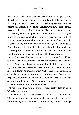#### JON RONSON

refreshments, wine and cocktails before dinner are paid for by Bilderberg. Telephone, room service and laundry bills are paid for by the participants. There are two morning sessions and two afternoon sessions, except on the Saturday, when the sessions take place only in the evening so that the Bilderbergers can play golf. The seating plan is in alphabetical order. It is reversed each year. One year Umberto Agnelli, the chairman of Fiat, will sit at the front. The next year, Norbert Zimmermann, chairman of Berndorf, the Austrian cutlery and metalware manufacturer, will take his place. While furiously denying that they secretly ruled the world, my Bilderberg interviewees did admit to me that international affairs had, from time to time, been influenced by these sessions.

I asked for examples, and I was given one: "During the Falklands war, the British government's request for international sanctions against Argentina fell on stony ground. But at a Bilderberg meeting in, I think, Denmark, David Owen stood up and gave the most fiery speech in favour of imposing them. Well, the speech changed a lot of minds. I'm sure that various foreign ministers went back to their respective countries and told their leaders what David Owen had said. And you know what? Sanctions were imposed."

The man who told me this story added,

"I hope that gives you a flavour of what really does go on in Bilderberg meetings."

This is how Denis Healey described a Bilderberg person to me: "To say we were striving for a one-world government is exaggerated, but not wholly unfair. Those of us in Bilderberg felt we couldn't go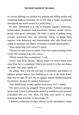on forever fighting one another for nothing and killing people and rendering millions homeless. So we felt that a single community throughout the world would be a good thing."

He said, "Bilderberg is a way of bringing together politicians, industrialists, financiers and journalists. Politics should involve people who aren't politicians. We make a point of getting along younger politicians who are obviously rising, to bring them together with financiers and industrialists who offer them wise words. It increases the chance of having a sensible global policy."

"Does going help your career?" I asked.

"Oh *yes*," he said. Then he added, "Your new understanding of the world will certainly help your career."

"Which sounds like a conspiracy," I said.

"Crap!" said Denis Healey. "Idiocy! Crap! I've never heard such crap! That *isn't* a conspiracy! That is the *world.* It is the way things are done. And quite rightly so."

He added, "But I will tell you this. If extremists and leaders of militant groups believe that Bilderberg is out to do them down, then they're right. We *are.* We are against Islamic fundamentalism, for instance, because it's against democracy."

"Isn't Bilderberg's secrecy against democracy, too?" I asked.

"We aren't secret," he snapped. "We're private. Nobody is going to speak freely if they're going to be quoted by ambitious and prurient journalists like you who think it'll help your career to attack something that you have no knowledge of."

I noticed a collection of photo albums on his mantelpiece. Denis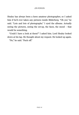#### JON RONSON

Healey has always been a keen amateur photographer, so I asked him if he'd ever taken any pictures inside Bilderberg. "Oh yes," he said. "Lots and lots of photographs." I eyed the albums. Actually seeing the pictures, seeing the set-up, the faces, the mood – that would be something.

"Could I have a look at them?" I asked him. Lord Healey looked down at his lap. He thought about my request. He looked up again. "No," he said. "Fuck off."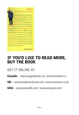#### **THEM**



#### **Adventures with Extremists**

Is there really, as the extremists claim, a secret room from which a tiny elite secretly rule the world? And if so, can it be found? This book is a journey into the heart of darkness involving twelve-foot izani-men, PR-savvy Ku Klux Klansenen,

Hollywood limousines, the story of Ruby Ridge, Noam Chomsky, a harem of kidnapped sex slaves, and Nicolae Ceauşescu's shoes. While Jon Ronson attempts to locate the secret room he is chased by men in dark glasses, unmasked as a Jew in the middle of a Jihad training camp, and witnesses CEOs and leading politicians undertake a bizarre pagan owl citual in the forests of northern California. He learns some alarming things about the looking-glass world of them and us. Are the extremists onto something? Or has he become one of Them?

**Jon Ronson** 

# **IF YOU'D LIKE TO READ MORE, BUY THE BOOK**

## GET IT ONLINE AT:

## **Canada** – www.pagesbooks.ca; www.amazon.ca

## **UK** – www.bookmarks.uk.com; www.amazon.co.uk

**USA** – www.powells.com; www.amazon.com